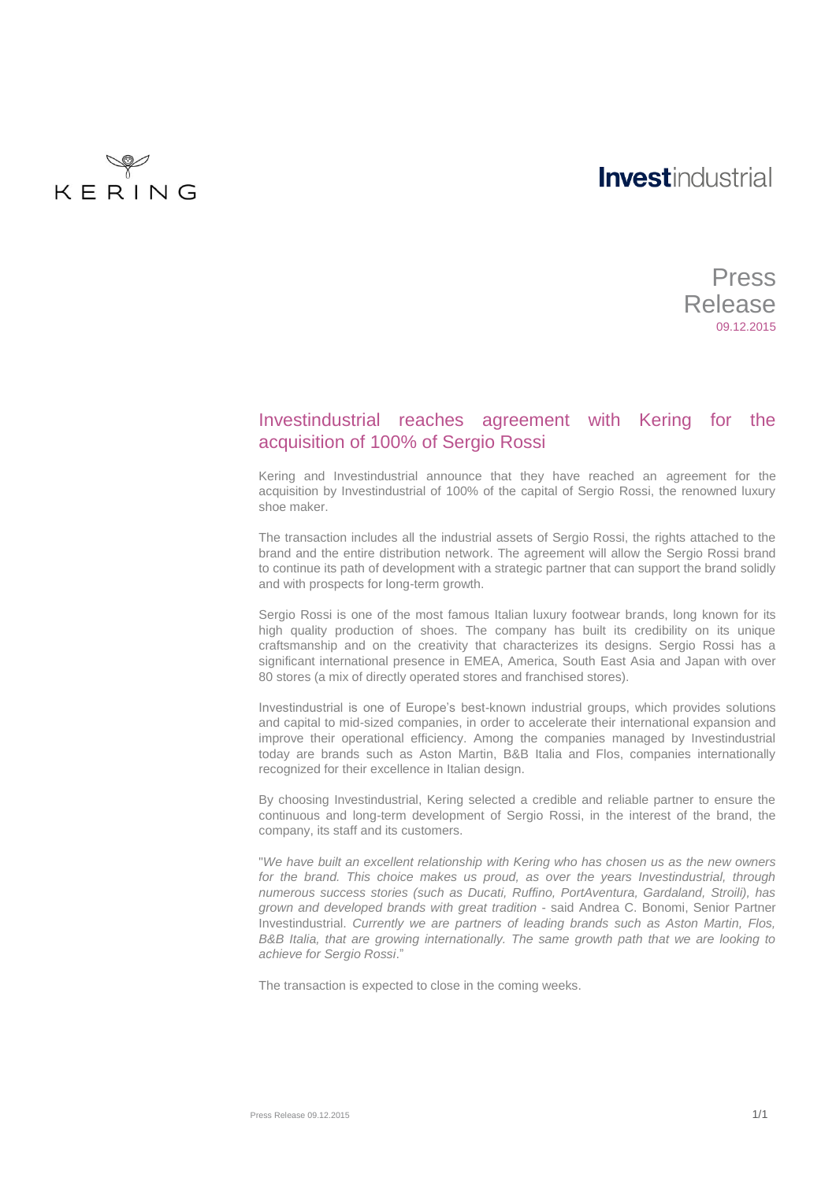# **Investindustrial**

KERING

## Press Release 09.12.2015

### Investindustrial reaches agreement with Kering for the acquisition of 100% of Sergio Rossi

Kering and Investindustrial announce that they have reached an agreement for the acquisition by Investindustrial of 100% of the capital of Sergio Rossi, the renowned luxury shoe maker.

The transaction includes all the industrial assets of Sergio Rossi, the rights attached to the brand and the entire distribution network. The agreement will allow the Sergio Rossi brand to continue its path of development with a strategic partner that can support the brand solidly and with prospects for long-term growth.

Sergio Rossi is one of the most famous Italian luxury footwear brands, long known for its high quality production of shoes. The company has built its credibility on its unique craftsmanship and on the creativity that characterizes its designs. Sergio Rossi has a significant international presence in EMEA, America, South East Asia and Japan with over 80 stores (a mix of directly operated stores and franchised stores).

Investindustrial is one of Europe's best-known industrial groups, which provides solutions and capital to mid-sized companies, in order to accelerate their international expansion and improve their operational efficiency. Among the companies managed by Investindustrial today are brands such as Aston Martin, B&B Italia and Flos, companies internationally recognized for their excellence in Italian design.

By choosing Investindustrial, Kering selected a credible and reliable partner to ensure the continuous and long-term development of Sergio Rossi, in the interest of the brand, the company, its staff and its customers.

"*We have built an excellent relationship with Kering who has chosen us as the new owners*  for the brand. This choice makes us proud, as over the years Investindustrial, through *numerous success stories (such as Ducati, Ruffino, PortAventura, Gardaland, Stroili), has grown and developed brands with great tradition* - said Andrea C. Bonomi, Senior Partner Investindustrial. *Currently we are partners of leading brands such as Aston Martin, Flos, B&B Italia, that are growing internationally. The same growth path that we are looking to achieve for Sergio Rossi*."

The transaction is expected to close in the coming weeks.